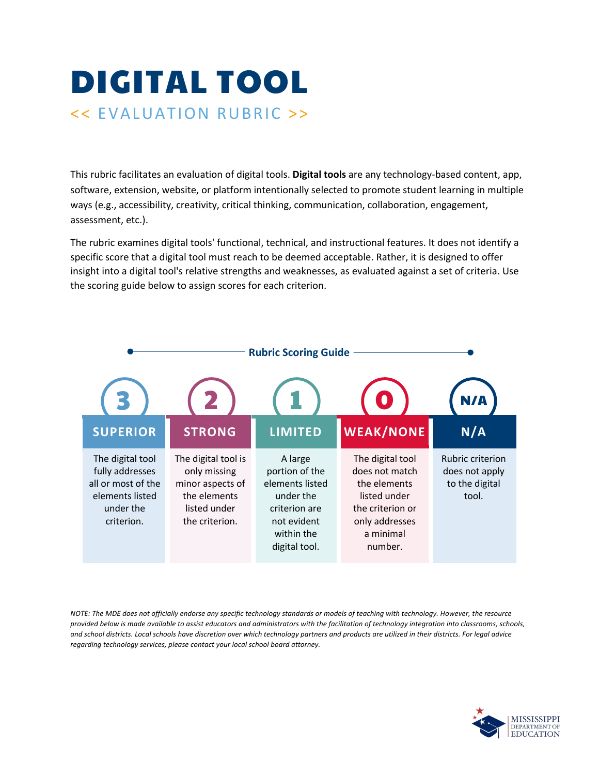## DIGITAL TOOL << EVALUATION RUBRIC >>

This rubric facilitates an evaluation of digital tools. **Digital tools** are any technology-based content, app, software, extension, website, or platform intentionally selected to promote student learning in multiple ways (e.g., accessibility, creativity, critical thinking, communication, collaboration, engagement, assessment, etc.).

The rubric examines digital tools' functional, technical, and instructional features. It does not identify a specific score that a digital tool must reach to be deemed acceptable. Rather, it is designed to offer insight into a digital tool's relative strengths and weaknesses, as evaluated against a set of criteria. Use the scoring guide below to assign scores for each criterion.



*NOTE: The MDE does not officially endorse any specific technology standards or models of teaching with technology. However, the resource provided below is made available to assist educators and administrators with the facilitation of technology integration into classrooms, schools, and school districts. Local schools have discretion over which technology partners and products are utilized in their districts. For legal advice regarding technology services, please contact your local school board attorney.*

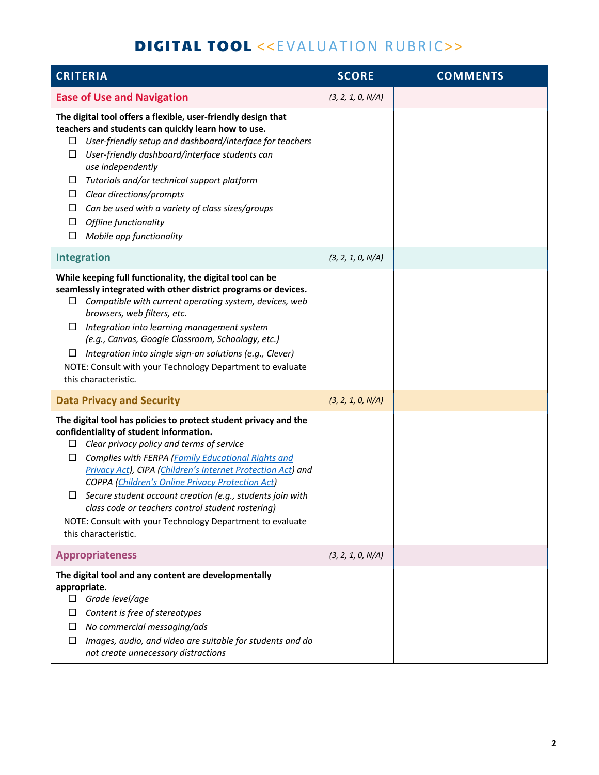## DIGITAL TOOL <<EVALUATION RUBRIC>>

| <b>CRITERIA</b>                                                                                                                                                                                                                                                                                                                                                                                                                                                                                                                                           | <b>SCORE</b>      | <b>COMMENTS</b> |
|-----------------------------------------------------------------------------------------------------------------------------------------------------------------------------------------------------------------------------------------------------------------------------------------------------------------------------------------------------------------------------------------------------------------------------------------------------------------------------------------------------------------------------------------------------------|-------------------|-----------------|
| <b>Ease of Use and Navigation</b>                                                                                                                                                                                                                                                                                                                                                                                                                                                                                                                         | (3, 2, 1, 0, N/A) |                 |
| The digital tool offers a flexible, user-friendly design that<br>teachers and students can quickly learn how to use.<br>User-friendly setup and dashboard/interface for teachers<br>ப<br>User-friendly dashboard/interface students can<br>□<br>use independently<br>Tutorials and/or technical support platform<br>⊔<br>Clear directions/prompts<br>ப<br>Can be used with a variety of class sizes/groups<br>ப<br>Offline functionality<br>□<br>Mobile app functionality<br>□                                                                            |                   |                 |
| <b>Integration</b>                                                                                                                                                                                                                                                                                                                                                                                                                                                                                                                                        | (3, 2, 1, 0, N/A) |                 |
| While keeping full functionality, the digital tool can be<br>seamlessly integrated with other district programs or devices.<br>Compatible with current operating system, devices, web<br>□<br>browsers, web filters, etc.<br>Integration into learning management system<br>⊔<br>(e.g., Canvas, Google Classroom, Schoology, etc.)<br>Integration into single sign-on solutions (e.g., Clever)<br>Ц<br>NOTE: Consult with your Technology Department to evaluate<br>this characteristic.                                                                  |                   |                 |
| <b>Data Privacy and Security</b>                                                                                                                                                                                                                                                                                                                                                                                                                                                                                                                          | (3, 2, 1, 0, N/A) |                 |
| The digital tool has policies to protect student privacy and the<br>confidentiality of student information.<br>Clear privacy policy and terms of service<br>ப<br>Complies with FERPA (Family Educational Rights and<br>ப<br>Privacy Act), CIPA (Children's Internet Protection Act) and<br><b>COPPA (Children's Online Privacy Protection Act)</b><br>Secure student account creation (e.g., students join with<br>class code or teachers control student rostering)<br>NOTE: Consult with your Technology Department to evaluate<br>this characteristic. |                   |                 |
| <b>Appropriateness</b>                                                                                                                                                                                                                                                                                                                                                                                                                                                                                                                                    | (3, 2, 1, 0, N/A) |                 |
| The digital tool and any content are developmentally<br>appropriate.<br>Grade level/age<br>□<br>Content is free of stereotypes<br>ப<br>No commercial messaging/ads<br>□<br>Images, audio, and video are suitable for students and do<br>⊔<br>not create unnecessary distractions                                                                                                                                                                                                                                                                          |                   |                 |